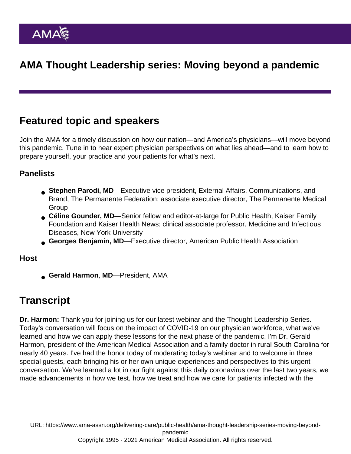## AMA Thought Leadership series: Moving beyond a pandemic

## Featured topic and speakers

Join the AMA for a timely discussion on how our nation—and America's physicians—will move beyond this pandemic. Tune in to hear expert physician perspectives on what lies ahead—and to learn how to prepare yourself, your practice and your patients for what's next.

## **Panelists**

- Stephen Parodi, MD —Executive vice president, External Affairs, Communications, and Brand, The Permanente Federation; associate executive director, The Permanente Medical **Group**
- Céline Gounder, MD —Senior fellow and editor-at-large for Public Health, Kaiser Family Foundation and Kaiser Health News; clinical associate professor, Medicine and Infectious Diseases, New York University
- Georges Benjamin, MD —Executive director, American Public Health Association

Host

● Gerald Harmon, MD—President, AMA

## **Transcript**

Dr. Harmon: Thank you for joining us for our latest webinar and the Thought Leadership Series. Today's conversation will focus on the impact of COVID-19 on our physician workforce, what we've learned and how we can apply these lessons for the next phase of the pandemic. I'm Dr. Gerald Harmon, president of the American Medical Association and a family doctor in rural South Carolina for nearly 40 years. I've had the honor today of moderating today's webinar and to welcome in three special guests, each bringing his or her own unique experiences and perspectives to this urgent conversation. We've learned a lot in our fight against this daily coronavirus over the last two years, we made advancements in how we test, how we treat and how we care for patients infected with the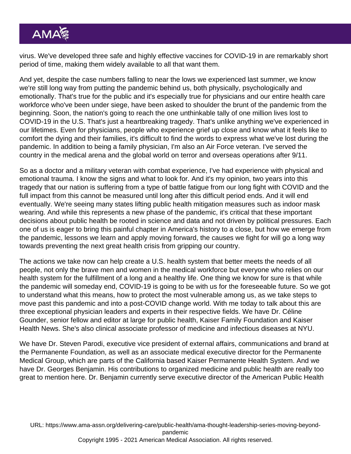virus. We've developed three safe and highly effective vaccines for COVID-19 in are remarkably short period of time, making them widely available to all that want them.

And yet, despite the case numbers falling to near the lows we experienced last summer, we know we're still long way from putting the pandemic behind us, both physically, psychologically and emotionally. That's true for the public and it's especially true for physicians and our entire health care workforce who've been under siege, have been asked to shoulder the brunt of the pandemic from the beginning. Soon, the nation's going to reach the one unthinkable tally of one million lives lost to COVID-19 in the U.S. That's just a heartbreaking tragedy. That's unlike anything we've experienced in our lifetimes. Even for physicians, people who experience grief up close and know what it feels like to comfort the dying and their families, it's difficult to find the words to express what we've lost during the pandemic. In addition to being a family physician, I'm also an Air Force veteran. I've served the country in the medical arena and the global world on terror and overseas operations after 9/11.

So as a doctor and a military veteran with combat experience, I've had experience with physical and emotional trauma. I know the signs and what to look for. And it's my opinion, two years into this tragedy that our nation is suffering from a type of battle fatigue from our long fight with COVID and the full impact from this cannot be measured until long after this difficult period ends. And it will end eventually. We're seeing many states lifting public health mitigation measures such as indoor mask wearing. And while this represents a new phase of the pandemic, it's critical that these important decisions about public health be rooted in science and data and not driven by political pressures. Each one of us is eager to bring this painful chapter in America's history to a close, but how we emerge from the pandemic, lessons we learn and apply moving forward, the causes we fight for will go a long way towards preventing the next great health crisis from gripping our country.

The actions we take now can help create a U.S. health system that better meets the needs of all people, not only the brave men and women in the medical workforce but everyone who relies on our health system for the fulfillment of a long and a healthy life. One thing we know for sure is that while the pandemic will someday end, COVID-19 is going to be with us for the foreseeable future. So we got to understand what this means, how to protect the most vulnerable among us, as we take steps to move past this pandemic and into a post-COVID change world. With me today to talk about this are three exceptional physician leaders and experts in their respective fields. We have Dr. Céline Gounder, senior fellow and editor at large for public health, Kaiser Family Foundation and Kaiser Health News. She's also clinical associate professor of medicine and infectious diseases at NYU.

We have Dr. Steven Parodi, executive vice president of external affairs, communications and brand at the Permanente Foundation, as well as an associate medical executive director for the Permanente Medical Group, which are parts of the California based Kaiser Permanente Health System. And we have Dr. Georges Benjamin. His contributions to organized medicine and public health are really too great to mention here. Dr. Benjamin currently serve executive director of the American Public Health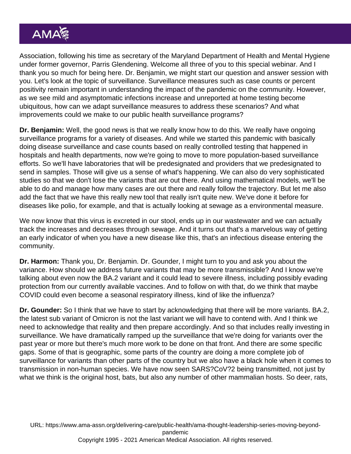Association, following his time as secretary of the Maryland Department of Health and Mental Hygiene under former governor, Parris Glendening. Welcome all three of you to this special webinar. And I thank you so much for being here. Dr. Benjamin, we might start our question and answer session with you. Let's look at the topic of surveillance. Surveillance measures such as case counts or percent positivity remain important in understanding the impact of the pandemic on the community. However, as we see mild and asymptomatic infections increase and unreported at home testing become ubiquitous, how can we adapt surveillance measures to address these scenarios? And what improvements could we make to our public health surveillance programs?

Dr. Benjamin: Well, the good news is that we really know how to do this. We really have ongoing surveillance programs for a variety of diseases. And while we started this pandemic with basically doing disease surveillance and case counts based on really controlled testing that happened in hospitals and health departments, now we're going to move to more population-based surveillance efforts. So we'll have laboratories that will be predesignated and providers that we predesignated to send in samples. Those will give us a sense of what's happening. We can also do very sophisticated studies so that we don't lose the variants that are out there. And using mathematical models, we'll be able to do and manage how many cases are out there and really follow the trajectory. But let me also add the fact that we have this really new tool that really isn't quite new. We've done it before for diseases like polio, for example, and that is actually looking at sewage as a environmental measure.

We now know that this virus is excreted in our stool, ends up in our wastewater and we can actually track the increases and decreases through sewage. And it turns out that's a marvelous way of getting an early indicator of when you have a new disease like this, that's an infectious disease entering the community.

Dr. Harmon: Thank you, Dr. Benjamin. Dr. Gounder, I might turn to you and ask you about the variance. How should we address future variants that may be more transmissible? And I know we're talking about even now the BA.2 variant and it could lead to severe illness, including possibly evading protection from our currently available vaccines. And to follow on with that, do we think that maybe COVID could even become a seasonal respiratory illness, kind of like the influenza?

Dr. Gounder: So I think that we have to start by acknowledging that there will be more variants. BA.2, the latest sub variant of Omicron is not the last variant we will have to contend with. And I think we need to acknowledge that reality and then prepare accordingly. And so that includes really investing in surveillance. We have dramatically ramped up the surveillance that we're doing for variants over the past year or more but there's much more work to be done on that front. And there are some specific gaps. Some of that is geographic, some parts of the country are doing a more complete job of surveillance for variants than other parts of the country but we also have a black hole when it comes to transmission in non-human species. We have now seen SARS?CoV?2 being transmitted, not just by what we think is the original host, bats, but also any number of other mammalian hosts. So deer, rats,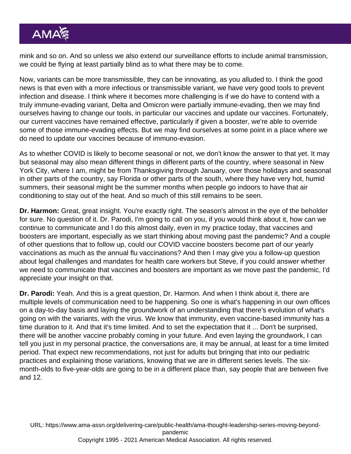mink and so on. And so unless we also extend our surveillance efforts to include animal transmission, we could be flying at least partially blind as to what there may be to come.

Now, variants can be more transmissible, they can be innovating, as you alluded to. I think the good news is that even with a more infectious or transmissible variant, we have very good tools to prevent infection and disease. I think where it becomes more challenging is if we do have to contend with a truly immune-evading variant, Delta and Omicron were partially immune-evading, then we may find ourselves having to change our tools, in particular our vaccines and update our vaccines. Fortunately, our current vaccines have remained effective, particularly if given a booster, we're able to override some of those immune-evading effects. But we may find ourselves at some point in a place where we do need to update our vaccines because of immuno-evasion.

As to whether COVID is likely to become seasonal or not, we don't know the answer to that yet. It may but seasonal may also mean different things in different parts of the country, where seasonal in New York City, where I am, might be from Thanksgiving through January, over those holidays and seasonal in other parts of the country, say Florida or other parts of the south, where they have very hot, humid summers, their seasonal might be the summer months when people go indoors to have that air conditioning to stay out of the heat. And so much of this still remains to be seen.

Dr. Harmon: Great, great insight. You're exactly right. The season's almost in the eye of the beholder for sure. No question of it. Dr. Parodi, I'm going to call on you, if you would think about it, how can we continue to communicate and I do this almost daily, even in my practice today, that vaccines and boosters are important, especially as we start thinking about moving past the pandemic? And a couple of other questions that to follow up, could our COVID vaccine boosters become part of our yearly vaccinations as much as the annual flu vaccinations? And then I may give you a follow-up question about legal challenges and mandates for health care workers but Steve, if you could answer whether we need to communicate that vaccines and boosters are important as we move past the pandemic, I'd appreciate your insight on that.

Dr. Parodi: Yeah. And this is a great question, Dr. Harmon. And when I think about it, there are multiple levels of communication need to be happening. So one is what's happening in our own offices on a day-to-day basis and laying the groundwork of an understanding that there's evolution of what's going on with the variants, with the virus. We know that immunity, even vaccine-based immunity has a time duration to it. And that it's time limited. And to set the expectation that it ... Don't be surprised, there will be another vaccine probably coming in your future. And even laying the groundwork, I can tell you just in my personal practice, the conversations are, it may be annual, at least for a time limited period. That expect new recommendations, not just for adults but bringing that into our pediatric practices and explaining those variations, knowing that we are in different series levels. The sixmonth-olds to five-year-olds are going to be in a different place than, say people that are between five and 12.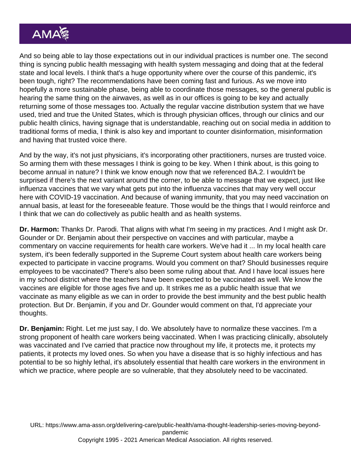And so being able to lay those expectations out in our individual practices is number one. The second thing is syncing public health messaging with health system messaging and doing that at the federal state and local levels. I think that's a huge opportunity where over the course of this pandemic, it's been tough, right? The recommendations have been coming fast and furious. As we move into hopefully a more sustainable phase, being able to coordinate those messages, so the general public is hearing the same thing on the airwaves, as well as in our offices is going to be key and actually returning some of those messages too. Actually the regular vaccine distribution system that we have used, tried and true the United States, which is through physician offices, through our clinics and our public health clinics, having signage that is understandable, reaching out on social media in addition to traditional forms of media, I think is also key and important to counter disinformation, misinformation and having that trusted voice there.

And by the way, it's not just physicians, it's incorporating other practitioners, nurses are trusted voice. So arming them with these messages I think is going to be key. When I think about, is this going to become annual in nature? I think we know enough now that we referenced BA.2. I wouldn't be surprised if there's the next variant around the corner, to be able to message that we expect, just like influenza vaccines that we vary what gets put into the influenza vaccines that may very well occur here with COVID-19 vaccination. And because of waning immunity, that you may need vaccination on annual basis, at least for the foreseeable feature. Those would be the things that I would reinforce and I think that we can do collectively as public health and as health systems.

Dr. Harmon: Thanks Dr. Parodi. That aligns with what I'm seeing in my practices. And I might ask Dr. Gounder or Dr. Benjamin about their perspective on vaccines and with particular, maybe a commentary on vaccine requirements for health care workers. We've had it ... In my local health care system, it's been federally supported in the Supreme Court system about health care workers being expected to participate in vaccine programs. Would you comment on that? Should businesses require employees to be vaccinated? There's also been some ruling about that. And I have local issues here in my school district where the teachers have been expected to be vaccinated as well. We know the vaccines are eligible for those ages five and up. It strikes me as a public health issue that we vaccinate as many eligible as we can in order to provide the best immunity and the best public health protection. But Dr. Benjamin, if you and Dr. Gounder would comment on that, I'd appreciate your thoughts.

Dr. Benjamin: Right. Let me just say, I do. We absolutely have to normalize these vaccines. I'm a strong proponent of health care workers being vaccinated. When I was practicing clinically, absolutely was vaccinated and I've carried that practice now throughout my life, it protects me, it protects my patients, it protects my loved ones. So when you have a disease that is so highly infectious and has potential to be so highly lethal, it's absolutely essential that health care workers in the environment in which we practice, where people are so vulnerable, that they absolutely need to be vaccinated.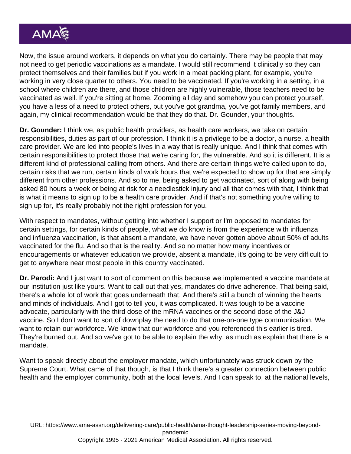Now, the issue around workers, it depends on what you do certainly. There may be people that may not need to get periodic vaccinations as a mandate. I would still recommend it clinically so they can protect themselves and their families but if you work in a meat packing plant, for example, you're working in very close quarter to others. You need to be vaccinated. If you're working in a setting, in a school where children are there, and those children are highly vulnerable, those teachers need to be vaccinated as well. If you're sitting at home, Zooming all day and somehow you can protect yourself, you have a less of a need to protect others, but you've got grandma, you've got family members, and again, my clinical recommendation would be that they do that. Dr. Gounder, your thoughts.

Dr. Gounder: I think we, as public health providers, as health care workers, we take on certain responsibilities, duties as part of our profession. I think it is a privilege to be a doctor, a nurse, a health care provider. We are led into people's lives in a way that is really unique. And I think that comes with certain responsibilities to protect those that we're caring for, the vulnerable. And so it is different. It is a different kind of professional calling from others. And there are certain things we're called upon to do, certain risks that we run, certain kinds of work hours that we're expected to show up for that are simply different from other professions. And so to me, being asked to get vaccinated, sort of along with being asked 80 hours a week or being at risk for a needlestick injury and all that comes with that, I think that is what it means to sign up to be a health care provider. And if that's not something you're willing to sign up for, it's really probably not the right profession for you.

With respect to mandates, without getting into whether I support or I'm opposed to mandates for certain settings, for certain kinds of people, what we do know is from the experience with influenza and influenza vaccination, is that absent a mandate, we have never gotten above about 50% of adults vaccinated for the flu. And so that is the reality. And so no matter how many incentives or encouragements or whatever education we provide, absent a mandate, it's going to be very difficult to get to anywhere near most people in this country vaccinated.

Dr. Parodi: And I just want to sort of comment on this because we implemented a vaccine mandate at our institution just like yours. Want to call out that yes, mandates do drive adherence. That being said, there's a whole lot of work that goes underneath that. And there's still a bunch of winning the hearts and minds of individuals. And I got to tell you, it was complicated. It was tough to be a vaccine advocate, particularly with the third dose of the mRNA vaccines or the second dose of the J&J vaccine. So I don't want to sort of downplay the need to do that one-on-one type communication. We want to retain our workforce. We know that our workforce and you referenced this earlier is tired. They're burned out. And so we've got to be able to explain the why, as much as explain that there is a mandate.

Want to speak directly about the employer mandate, which unfortunately was struck down by the Supreme Court. What came of that though, is that I think there's a greater connection between public health and the employer community, both at the local levels. And I can speak to, at the national levels,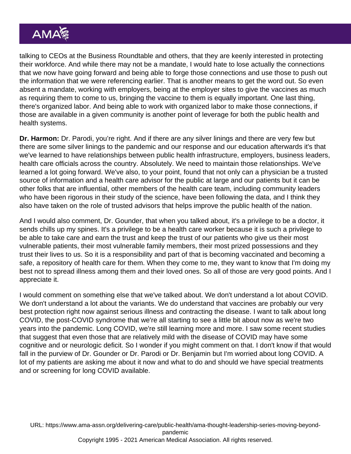talking to CEOs at the Business Roundtable and others, that they are keenly interested in protecting their workforce. And while there may not be a mandate, I would hate to lose actually the connections that we now have going forward and being able to forge those connections and use those to push out the information that we were referencing earlier. That is another means to get the word out. So even absent a mandate, working with employers, being at the employer sites to give the vaccines as much as requiring them to come to us, bringing the vaccine to them is equally important. One last thing, there's organized labor. And being able to work with organized labor to make those connections, if those are available in a given community is another point of leverage for both the public health and health systems.

Dr. Harmon: Dr. Parodi, you're right. And if there are any silver linings and there are very few but there are some silver linings to the pandemic and our response and our education afterwards it's that we've learned to have relationships between public health infrastructure, employers, business leaders, health care officials across the country. Absolutely. We need to maintain those relationships. We've learned a lot going forward. We've also, to your point, found that not only can a physician be a trusted source of information and a health care advisor for the public at large and our patients but it can be other folks that are influential, other members of the health care team, including community leaders who have been rigorous in their study of the science, have been following the data, and I think they also have taken on the role of trusted advisors that helps improve the public health of the nation.

And I would also comment, Dr. Gounder, that when you talked about, it's a privilege to be a doctor, it sends chills up my spines. It's a privilege to be a health care worker because it is such a privilege to be able to take care and earn the trust and keep the trust of our patients who give us their most vulnerable patients, their most vulnerable family members, their most prized possessions and they trust their lives to us. So it is a responsibility and part of that is becoming vaccinated and becoming a safe, a repository of health care for them. When they come to me, they want to know that I'm doing my best not to spread illness among them and their loved ones. So all of those are very good points. And I appreciate it.

I would comment on something else that we've talked about. We don't understand a lot about COVID. We don't understand a lot about the variants. We do understand that vaccines are probably our very best protection right now against serious illness and contracting the disease. I want to talk about long COVID, the post-COVID syndrome that we're all starting to see a little bit about now as we're two years into the pandemic. Long COVID, we're still learning more and more. I saw some recent studies that suggest that even those that are relatively mild with the disease of COVID may have some cognitive and or neurologic deficit. So I wonder if you might comment on that. I don't know if that would fall in the purview of Dr. Gounder or Dr. Parodi or Dr. Benjamin but I'm worried about long COVID. A lot of my patients are asking me about it now and what to do and should we have special treatments and or screening for long COVID available.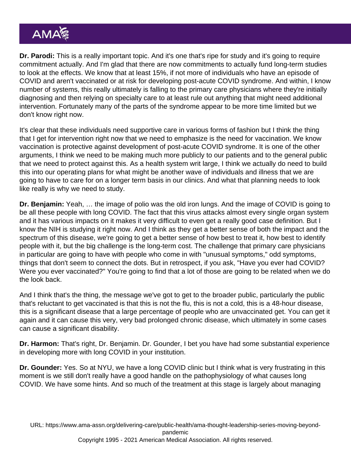Dr. Parodi: This is a really important topic. And it's one that's ripe for study and it's going to require commitment actually. And I'm glad that there are now commitments to actually fund long-term studies to look at the effects. We know that at least 15%, if not more of individuals who have an episode of COVID and aren't vaccinated or at risk for developing post-acute COVID syndrome. And within, I know number of systems, this really ultimately is falling to the primary care physicians where they're initially diagnosing and then relying on specialty care to at least rule out anything that might need additional intervention. Fortunately many of the parts of the syndrome appear to be more time limited but we don't know right now.

It's clear that these individuals need supportive care in various forms of fashion but I think the thing that I get for intervention right now that we need to emphasize is the need for vaccination. We know vaccination is protective against development of post-acute COVID syndrome. It is one of the other arguments, I think we need to be making much more publicly to our patients and to the general public that we need to protect against this. As a health system writ large, I think we actually do need to build this into our operating plans for what might be another wave of individuals and illness that we are going to have to care for on a longer term basis in our clinics. And what that planning needs to look like really is why we need to study.

Dr. Benjamin: Yeah, … the image of polio was the old iron lungs. And the image of COVID is going to be all these people with long COVID. The fact that this virus attacks almost every single organ system and it has various impacts on it makes it very difficult to even get a really good case definition. But I know the NIH is studying it right now. And I think as they get a better sense of both the impact and the spectrum of this disease, we're going to get a better sense of how best to treat it, how best to identify people with it, but the big challenge is the long-term cost. The challenge that primary care physicians in particular are going to have with people who come in with "unusual symptoms," odd symptoms, things that don't seem to connect the dots. But in retrospect, if you ask, "Have you ever had COVID? Were you ever vaccinated?" You're going to find that a lot of those are going to be related when we do the look back.

And I think that's the thing, the message we've got to get to the broader public, particularly the public that's reluctant to get vaccinated is that this is not the flu, this is not a cold, this is a 48-hour disease, this is a significant disease that a large percentage of people who are unvaccinated get. You can get it again and it can cause this very, very bad prolonged chronic disease, which ultimately in some cases can cause a significant disability.

Dr. Harmon: That's right, Dr. Benjamin. Dr. Gounder, I bet you have had some substantial experience in developing more with long COVID in your institution.

Dr. Gounder: Yes. So at NYU, we have a long COVID clinic but I think what is very frustrating in this moment is we still don't really have a good handle on the pathophysiology of what causes long COVID. We have some hints. And so much of the treatment at this stage is largely about managing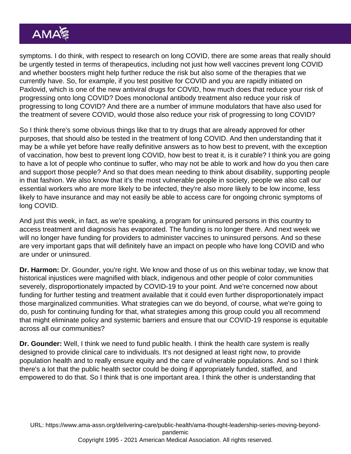symptoms. I do think, with respect to research on long COVID, there are some areas that really should be urgently tested in terms of therapeutics, including not just how well vaccines prevent long COVID and whether boosters might help further reduce the risk but also some of the therapies that we currently have. So, for example, if you test positive for COVID and you are rapidly initiated on Paxlovid, which is one of the new antiviral drugs for COVID, how much does that reduce your risk of progressing onto long COVID? Does monoclonal antibody treatment also reduce your risk of progressing to long COVID? And there are a number of immune modulators that have also used for the treatment of severe COVID, would those also reduce your risk of progressing to long COVID?

So I think there's some obvious things like that to try drugs that are already approved for other purposes, that should also be tested in the treatment of long COVID. And then understanding that it may be a while yet before have really definitive answers as to how best to prevent, with the exception of vaccination, how best to prevent long COVID, how best to treat it, is it curable? I think you are going to have a lot of people who continue to suffer, who may not be able to work and how do you then care and support those people? And so that does mean needing to think about disability, supporting people in that fashion. We also know that it's the most vulnerable people in society, people we also call our essential workers who are more likely to be infected, they're also more likely to be low income, less likely to have insurance and may not easily be able to access care for ongoing chronic symptoms of long COVID.

And just this week, in fact, as we're speaking, a program for uninsured persons in this country to access treatment and diagnosis has evaporated. The funding is no longer there. And next week we will no longer have funding for providers to administer vaccines to uninsured persons. And so these are very important gaps that will definitely have an impact on people who have long COVID and who are under or uninsured.

Dr. Harmon: Dr. Gounder, you're right. We know and those of us on this webinar today, we know that historical injustices were magnified with black, indigenous and other people of color communities severely, disproportionately impacted by COVID-19 to your point. And we're concerned now about funding for further testing and treatment available that it could even further disproportionately impact those marginalized communities. What strategies can we do beyond, of course, what we're going to do, push for continuing funding for that, what strategies among this group could you all recommend that might eliminate policy and systemic barriers and ensure that our COVID-19 response is equitable across all our communities?

Dr. Gounder: Well, I think we need to fund public health. I think the health care system is really designed to provide clinical care to individuals. It's not designed at least right now, to provide population health and to really ensure equity and the care of vulnerable populations. And so I think there's a lot that the public health sector could be doing if appropriately funded, staffed, and empowered to do that. So I think that is one important area. I think the other is understanding that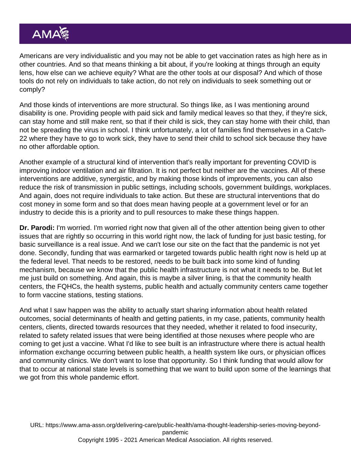Americans are very individualistic and you may not be able to get vaccination rates as high here as in other countries. And so that means thinking a bit about, if you're looking at things through an equity lens, how else can we achieve equity? What are the other tools at our disposal? And which of those tools do not rely on individuals to take action, do not rely on individuals to seek something out or comply?

And those kinds of interventions are more structural. So things like, as I was mentioning around disability is one. Providing people with paid sick and family medical leaves so that they, if they're sick, can stay home and still make rent, so that if their child is sick, they can stay home with their child, than not be spreading the virus in school. I think unfortunately, a lot of families find themselves in a Catch-22 where they have to go to work sick, they have to send their child to school sick because they have no other affordable option.

Another example of a structural kind of intervention that's really important for preventing COVID is improving indoor ventilation and air filtration. It is not perfect but neither are the vaccines. All of these interventions are additive, synergistic, and by making those kinds of improvements, you can also reduce the risk of transmission in public settings, including schools, government buildings, workplaces. And again, does not require individuals to take action. But these are structural interventions that do cost money in some form and so that does mean having people at a government level or for an industry to decide this is a priority and to pull resources to make these things happen.

Dr. Parodi: I'm worried. I'm worried right now that given all of the other attention being given to other issues that are rightly so occurring in this world right now, the lack of funding for just basic testing, for basic surveillance is a real issue. And we can't lose our site on the fact that the pandemic is not yet done. Secondly, funding that was earmarked or targeted towards public health right now is held up at the federal level. That needs to be restored, needs to be built back into some kind of funding mechanism, because we know that the public health infrastructure is not what it needs to be. But let me just build on something. And again, this is maybe a silver lining, is that the community health centers, the FQHCs, the health systems, public health and actually community centers came together to form vaccine stations, testing stations.

And what I saw happen was the ability to actually start sharing information about health related outcomes, social determinants of health and getting patients, in my case, patients, community health centers, clients, directed towards resources that they needed, whether it related to food insecurity, related to safety related issues that were being identified at those nexuses where people who are coming to get just a vaccine. What I'd like to see built is an infrastructure where there is actual health information exchange occurring between public health, a health system like ours, or physician offices and community clinics. We don't want to lose that opportunity. So I think funding that would allow for that to occur at national state levels is something that we want to build upon some of the learnings that we got from this whole pandemic effort.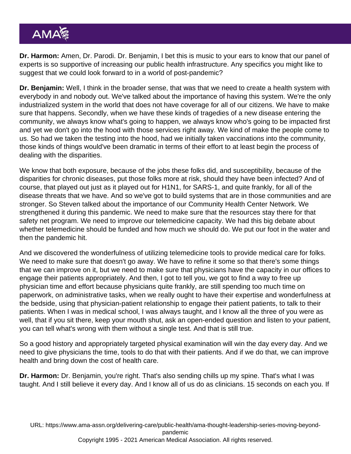Dr. Harmon: Amen, Dr. Parodi. Dr. Benjamin, I bet this is music to your ears to know that our panel of experts is so supportive of increasing our public health infrastructure. Any specifics you might like to suggest that we could look forward to in a world of post-pandemic?

Dr. Benjamin: Well, I think in the broader sense, that was that we need to create a health system with everybody in and nobody out. We've talked about the importance of having this system. We're the only industrialized system in the world that does not have coverage for all of our citizens. We have to make sure that happens. Secondly, when we have these kinds of tragedies of a new disease entering the community, we always know what's going to happen, we always know who's going to be impacted first and yet we don't go into the hood with those services right away. We kind of make the people come to us. So had we taken the testing into the hood, had we initially taken vaccinations into the community, those kinds of things would've been dramatic in terms of their effort to at least begin the process of dealing with the disparities.

We know that both exposure, because of the jobs these folks did, and susceptibility, because of the disparities for chronic diseases, put those folks more at risk, should they have been infected? And of course, that played out just as it played out for H1N1, for SARS-1, and quite frankly, for all of the disease threats that we have. And so we've got to build systems that are in those communities and are stronger. So Steven talked about the importance of our Community Health Center Network. We strengthened it during this pandemic. We need to make sure that the resources stay there for that safety net program. We need to improve our telemedicine capacity. We had this big debate about whether telemedicine should be funded and how much we should do. We put our foot in the water and then the pandemic hit.

And we discovered the wonderfulness of utilizing telemedicine tools to provide medical care for folks. We need to make sure that doesn't go away. We have to refine it some so that there's some things that we can improve on it, but we need to make sure that physicians have the capacity in our offices to engage their patients appropriately. And then, I got to tell you, we got to find a way to free up physician time and effort because physicians quite frankly, are still spending too much time on paperwork, on administrative tasks, when we really ought to have their expertise and wonderfulness at the bedside, using that physician-patient relationship to engage their patient patients, to talk to their patients. When I was in medical school, I was always taught, and I know all the three of you were as well, that if you sit there, keep your mouth shut, ask an open-ended question and listen to your patient, you can tell what's wrong with them without a single test. And that is still true.

So a good history and appropriately targeted physical examination will win the day every day. And we need to give physicians the time, tools to do that with their patients. And if we do that, we can improve health and bring down the cost of health care.

Dr. Harmon: Dr. Benjamin, you're right. That's also sending chills up my spine. That's what I was taught. And I still believe it every day. And I know all of us do as clinicians. 15 seconds on each you. If